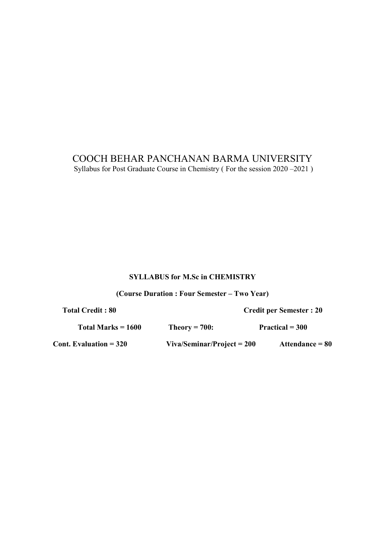## COOCH BEHAR PANCHANAN BARMA UNIVERSITY Syllabus for Post Graduate Course in Chemistry ( For the session 2020 –2021 )

## SYLLABUS for M.Sc in CHEMISTRY

(Course Duration : Four Semester – Two Year)

Total Credit : 80 Credit per Semester : 20

| Total Marks $= 1600$          | Theory $= 700$ :             | $Practical = 300$ |  |  |
|-------------------------------|------------------------------|-------------------|--|--|
| <b>Cont. Evaluation = 320</b> | $Viva/Seminar/Project = 200$ | Attendance $= 80$ |  |  |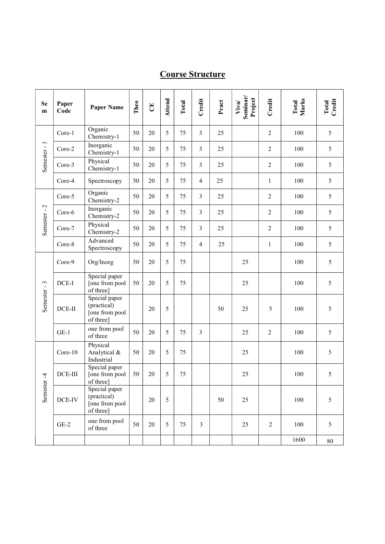# Course Structure

| Se<br>$\mathbf{m}$ | Paper<br>Code | <b>Paper Name</b>                                           | Theo | E  | Attend | Total | Credit         | Pract | Seminar/<br>Project<br>Viva/ | Credit           | Total<br>Marks | Total<br>Credit |
|--------------------|---------------|-------------------------------------------------------------|------|----|--------|-------|----------------|-------|------------------------------|------------------|----------------|-----------------|
| Semester-1         | Core-1        | Organic<br>Chemistry-1                                      | 50   | 20 | 5      | 75    | $\overline{3}$ | 25    |                              | $\overline{c}$   | 100            | 5               |
|                    | Core-2        | Inorganic<br>Chemistry-1                                    | 50   | 20 | 5      | 75    | 3              | 25    |                              | $\overline{c}$   | 100            | 5               |
|                    | Core-3        | Physical<br>Chemistry-1                                     | 50   | 20 | 5      | 75    | $\overline{3}$ | 25    |                              | $\overline{c}$   | 100            | 5               |
|                    | Core-4        | Spectroscopy                                                | 50   | 20 | 5      | 75    | $\overline{4}$ | 25    |                              | $\,1$            | 100            | 5               |
|                    | Core-5        | Organic<br>Chemistry-2                                      | 50   | 20 | 5      | 75    | 3              | 25    |                              | $\boldsymbol{2}$ | 100            | 5               |
| Semester-2         | Core-6        | Inorganic<br>Chemistry-2                                    | 50   | 20 | 5      | 75    | $\overline{3}$ | 25    |                              | $\boldsymbol{2}$ | 100            | 5               |
|                    | Core-7        | Physical<br>Chemistry-2                                     | 50   | 20 | 5      | 75    | $\mathfrak{Z}$ | 25    |                              | $\overline{c}$   | 100            | 5               |
|                    | Core-8        | Advanced<br>Spectroscopy                                    | 50   | 20 | 5      | 75    | $\overline{4}$ | 25    |                              | $\mathbf{1}$     | 100            | 5               |
| Semester-3         | Core-9        | Org/Inorg                                                   | 50   | 20 | 5      | 75    |                |       | 25                           |                  | 100            | 5               |
|                    | DCE-I         | Special paper<br>[one from pool<br>of three]                | 50   | 20 | 5      | 75    |                |       | 25                           |                  | 100            | 5               |
|                    | $DCE-II$      | Special paper<br>(practical)<br>[one from pool<br>of three] |      | 20 | 5      |       |                | 50    | 25                           | 5                | 100            | 5               |
|                    | $GE-1$        | one from pool<br>of three                                   | 50   | 20 | 5      | 75    | $\overline{3}$ |       | 25                           | $\overline{2}$   | 100            | 5               |
| 4<br>Semester      | Core-10       | Physical<br>Analytical &<br>Industrial                      | 50   | 20 | 5      | 75    |                |       | 25                           |                  | 100            | 5               |
|                    | DCE-III       | Special paper<br>[one from pool<br>of three]                | 50   | 20 | 5      | 75    |                |       | 25                           |                  | 100            | 5               |
|                    | DCE-IV        | Special paper<br>(practical)<br>[one from pool<br>of three] |      | 20 | 5      |       |                | 50    | 25                           |                  | 100            | 5               |
|                    | $GE-2$        | one from pool<br>of three                                   | 50   | 20 | 5      | 75    | $\mathfrak{Z}$ |       | 25                           | $\overline{2}$   | 100            | 5               |
|                    |               |                                                             |      |    |        |       |                |       |                              |                  | 1600           | $80\,$          |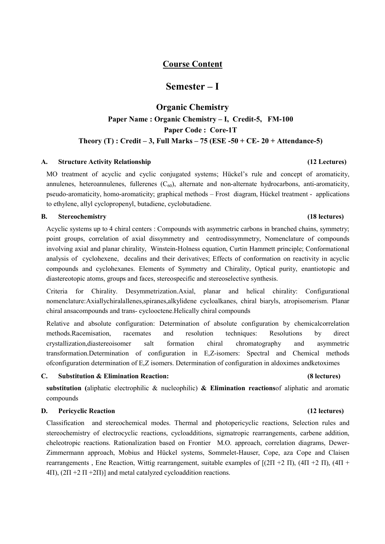## Course Content

## Semester – I

# Organic Chemistry Paper Name : Organic Chemistry – I, Credit-5, FM-100 Paper Code : Core-1T Theory  $(T)$ : Credit – 3, Full Marks – 75 (ESE -50 + CE- 20 + Attendance-5)

#### A. Structure Activity Relationship (12 Lectures)

MO treatment of acyclic and cyclic conjugated systems; Hückel's rule and concept of aromaticity, annulenes, heteroannulenes, fullerenes  $(C_{60})$ , alternate and non-alternate hydrocarbons, anti-aromaticity, pseudo-aromaticity, homo-aromaticity; graphical methods – Frost diagram, Hückel treatment - applications to ethylene, allyl cyclopropenyl, butadiene, cyclobutadiene.

#### B. Stereochemistry (18 lectures)

Acyclic systems up to 4 chiral centers : Compounds with asymmetric carbons in branched chains, symmetry; point groups, correlation of axial dissymmetry and centrodissymmetry, Nomenclature of compounds involving axial and planar chirality, Winstein-Holness equation, Curtin Hammett principle; Conformational analysis of cyclohexene, decalins and their derivatives; Effects of conformation on reactivity in acyclic compounds and cyclohexanes. Elements of Symmetry and Chirality, Optical purity, enantiotopic and diastereotopic atoms, groups and faces, stereospecific and stereoselective synthesis.

Criteria for Chirality. Desymmetrization.Axial, planar and helical chirality: Configurational nomenclature:Axiallychiralallenes,spiranes,alkylidene cycloalkanes, chiral biaryls, atropisomerism. Planar chiral ansacompounds and trans- cyclooctene.Helically chiral compounds

Relative and absolute configuration: Determination of absolute configuration by chemicalcorrelation methods.Racemisation, racemates and resolution techniques: Resolutions by direct crystallization,diastereoisomer salt formation chiral chromatography and asymmetric transformation.Determination of configuration in E,Z-isomers: Spectral and Chemical methods ofconfiguration determination of E,Z isomers. Determination of configuration in aldoximes andketoximes

#### C. Substitution & Elimination Reaction: (8 lectures)

## substitution (aliphatic electrophilic & nucleophilic) & Elimination reactions of aliphatic and aromatic compounds

#### D. Pericyclic Reaction (12 lectures)

Classification and stereochemical modes. Thermal and photopericyclic reactions, Selection rules and stereochemistry of electrocyclic reactions, cycloadditions, sigmatropic rearrangements, carbene addition, cheleotropic reactions. Rationalization based on Frontier M.O. approach, correlation diagrams, Dewer-Zimmermann approach, Mobius and Hückel systems, Sommelet-Hauser, Cope, aza Cope and Claisen rearrangements , Ene Reaction, Wittig rearrangement, suitable examples of [(2П +2 П), (4П +2 П), (4П +  $4\Pi$ ,  $(2\Pi + 2\Pi + 2\Pi)$  and metal catalyzed cycloaddition reactions.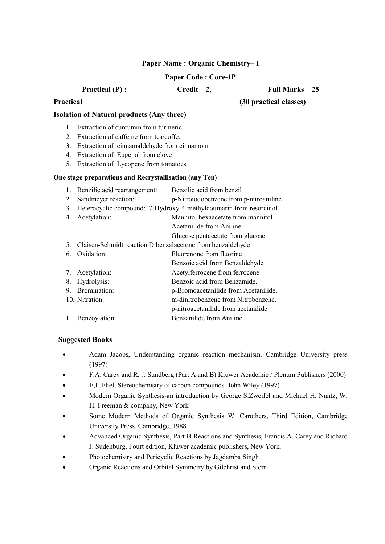## Paper Name : Organic Chemistry– I

### Paper Code : Core-1P

Practical  $(P)$ :  $C \cdot P = C \cdot P$  Full Marks – 25

## Practical (30 practical classes)

## Isolation of Natural products (Any three)

- 1. Extraction of curcumin from turmeric.
- 2. Extraction of caffeine from tea/coffe.
- 3. Extraction of cinnamaldehyde from cinnamom
- 4. Extraction of Eugenol from clove
- 5. Extraction of Lycopene from tomatoes

### One stage preparations and Recrystallisation (any Ten)

1. Benzilic acid rearrangement: Benzilic acid from benzil 2. Sandmeyer reaction: p-Nitroiodobenzene from p-nitroaniline 3. Heterocyclic compound: 7-Hydroxy-4-methylcoumarin from resorcinol 4. Acetylation: Mannitol hexaacetate from mannitol Acetanilide from Aniline. Glucose pentacetate from glucose 5. Claisen-Schmidt reaction Dibenzalacetone from benzaldehyde 6. Oxidation: Fluorenone from fluorine Benzoic acid from Benzaldehyde 7. Acetylation: Acetylferrocene from ferrocene 8. Hydrolysis: Benzoic acid from Benzamide. 9. Bromination: p-Bromoacetanilide from Acetanilide. 10. Nitration: m-dinitrobenzene from Nitrobenzene. p-nitroacetanilide from acetanilide 11. Benzoylation: Benzanilide from Aniline.

- Adam Jacobs, Understanding organic reaction mechanism. Cambridge University press (1997)
- F.A. Carey and R. J. Sundberg (Part A and B) Kluwer Academic / Plenum Publishers (2000)
- E,L.Eliel, Stereochemistry of carbon compounds. John Wiley (1997)
- Modern Organic Synthesis-an introduction by George S.Zweifel and Michael H. Nantz, W. H. Freeman & company, New York
- Some Modern Methods of Organic Synthesis W. Carothers, Third Edition, Cambridge University Press, Cambridge, 1988.
- Advanced Organic Synthesis, Part B-Reactions and Synthesis, Francis A. Carey and Richard J. Sudenburg, Fourt edition, Kluwer academic publishers, New York.
- Photochemistry and Pericyclic Reactions by Jagdamba Singh
- Organic Reactions and Orbital Symmetry by Gilchrist and Storr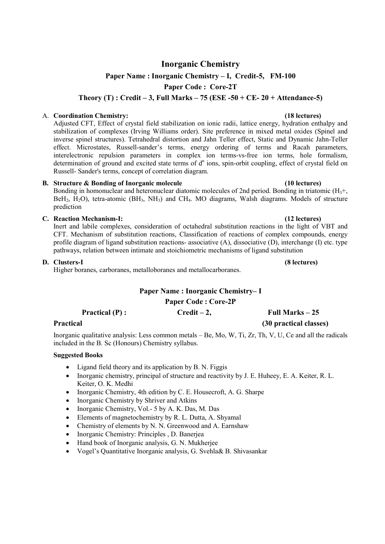# Inorganic Chemistry

## Paper Name : Inorganic Chemistry – I, Credit-5, FM-100

Paper Code : Core-2T

Theory  $(T)$ : Credit – 3, Full Marks – 75 (ESE -50 + CE- 20 + Attendance-5)

#### A. Coordination Chemistry: (18 lectures)

Adjusted CFT, Effect of crystal field stabilization on ionic radii, lattice energy, hydration enthalpy and stabilization of complexes (Irving Williams order). Site preference in mixed metal oxides (Spinel and inverse spinel structures). Tetrahedral distortion and Jahn Teller effect, Static and Dynamic Jahn-Teller effect. Microstates, Russell-sander's terms, energy ordering of terms and Racah parameters, interelectronic repulsion parameters in complex ion terms-vs-free ion terms, hole formalism, determination of ground and excited state terms of  $d<sup>n</sup>$  ions, spin-orbit coupling, effect of crystal field on Russell- Sander's terms, concept of correlation diagram.

### B. Structure & Bonding of Inorganic molecule (10 lectures)

Bonding in homonuclear and heteronuclear diatomic molecules of 2nd period. Bonding in triatomic  $(H_3 +, H_4)$ BeH<sub>2</sub>, H<sub>2</sub>O), tetra-atomic (BH<sub>3</sub>, NH<sub>3</sub>) and CH<sub>4</sub>. MO diagrams, Walsh diagrams. Models of structure prediction

### C. Reaction Mechanism-I: (12 lectures)

Inert and labile complexes, consideration of octahedral substitution reactions in the light of VBT and CFT. Mechanism of substitution reactions, Classification of reactions of complex compounds, energy profile diagram of ligand substitution reactions- associative (A), dissociative (D), interchange (I) etc. type pathways, relation between intimate and stoichiometric mechanisms of ligand substitution

### D. Clusters-I (8 lectures)

Higher boranes, carboranes, metalloboranes and metallocarboranes.

## Paper Name : Inorganic Chemistry– I Paper Code : Core-2P

| <b>Practical</b> $(P)$ : | $Credit-2$ , | Full Marks $-25$       |  |  |
|--------------------------|--------------|------------------------|--|--|
| <b>Practical</b>         |              | (30 practical classes) |  |  |

Inorganic qualitative analysis: Less common metals – Be, Mo, W, Ti, Zr, Th, V, U, Ce and all the radicals included in the B. Sc (Honours) Chemistry syllabus.

- Ligand field theory and its application by B. N. Figgis
- Inorganic chemistry, principal of structure and reactivity by J. E. Huheey, E. A. Keiter, R. L. Keiter, O. K. Medhi
- Inorganic Chemistry, 4th edition by C. E. Housecroft, A. G. Sharpe
- Inorganic Chemistry by Shriver and Atkins
- Inorganic Chemistry, Vol.- 5 by A. K. Das, M. Das
- Elements of magnetochemistry by R. L. Dutta, A. Shyamal
- Chemistry of elements by N. N. Greenwood and A. Earnshaw
- Inorganic Chemistry: Principles , D. Banerjea
- Hand book of Inorganic analysis, G. N. Mukherjee
- Vogel's Quantitative Inorganic analysis, G. Svehla& B. Shivasankar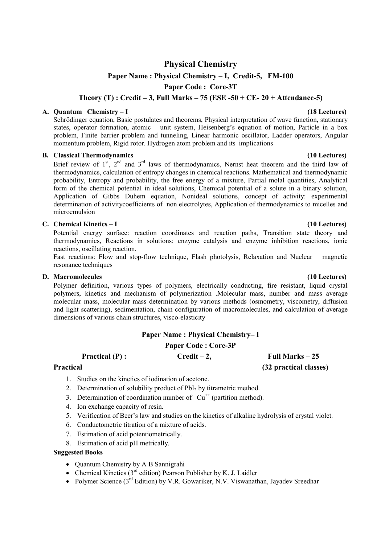## Physical Chemistry

## Paper Name : Physical Chemistry – I, Credit-5, FM-100

Paper Code : Core-3T

Theory (T) : Credit – 3, Full Marks – 75 (ESE -50 + CE- 20 + Attendance-5)

#### A. Quantum Chemistry – I (18 Lectures)

Schrödinger equation, Basic postulates and theorems, Physical interpretation of wave function, stationary states, operator formation, atomic unit system, Heisenberg's equation of motion, Particle in a box problem, Finite barrier problem and tunneling, Linear harmonic oscillator, Ladder operators, Angular momentum problem, Rigid rotor. Hydrogen atom problem and its implications

#### B. Classical Thermodynamics (10 Lectures)

Brief review of  $1<sup>st</sup>$ ,  $2<sup>nd</sup>$  and  $3<sup>rd</sup>$  laws of thermodynamics, Nernst heat theorem and the third law of thermodynamics, calculation of entropy changes in chemical reactions. Mathematical and thermodynamic probability, Entropy and probability, the free energy of a mixture, Partial molal quantities, Analytical form of the chemical potential in ideal solutions, Chemical potential of a solute in a binary solution, Application of Gibbs Duhem equation, Nonideal solutions, concept of activity: experimental determination of activitycoefficients of non electrolytes, Application of thermodynamics to micelles and microemulsion

#### C. Chemical Kinetics – I (10 Lectures)

Potential energy surface: reaction coordinates and reaction paths, Transition state theory and thermodynamics, Reactions in solutions: enzyme catalysis and enzyme inhibition reactions, ionic reactions, oscillating reaction.

Fast reactions: Flow and stop-flow technique, Flash photolysis, Relaxation and Nuclear magnetic resonance techniques

#### D. Macromolecules (10 Lectures) (10 Lectures)

Polymer definition, various types of polymers, electrically conducting, fire resistant, liquid crystal polymers, kinetics and mechanism of polymerization .Molecular mass, number and mass average molecular mass, molecular mass determination by various methods (osmometry, viscometry, diffusion and light scattering), sedimentation, chain configuration of macromolecules, and calculation of average dimensions of various chain structures, visco-elasticity

#### Paper Name : Physical Chemistry– I

## Paper Code : Core-3P

## Practical  $(P)$ : Credit – 2, Full Marks – 25

## Practical (32 practical classes)

- 1. Studies on the kinetics of iodination of acetone.
- 2. Determination of solubility product of PbI<sub>2</sub> by titrametric method.
- 3. Determination of coordination number of  $Cu<sup>++</sup>$  (partition method).
- 4. Ion exchange capacity of resin.
- 5. Verification of Beer's law and studies on the kinetics of alkaline hydrolysis of crystal violet.
- 6. Conductometric titration of a mixture of acids.
- 7. Estimation of acid potentiometrically.
- 8. Estimation of acid pH metrically.

- Ouantum Chemistry by A B Sannigrahi
- Chemical Kinetics  $(3<sup>rd</sup>$  edition) Pearson Publisher by K. J. Laidler
- Polymer Science  $(3^{rd}$  Edition) by V.R. Gowariker, N.V. Viswanathan, Javadev Sreedhar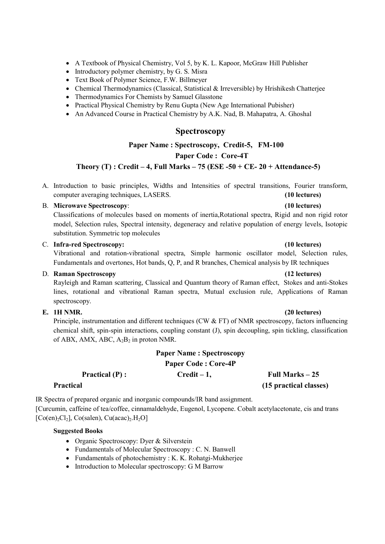- A Textbook of Physical Chemistry, Vol 5, by K. L. Kapoor, McGraw Hill Publisher
- $\bullet$  Introductory polymer chemistry, by G. S. Misra
- Text Book of Polymer Science, F.W. Billmeyer
- Chemical Thermodynamics (Classical, Statistical & Irreversible) by Hrishikesh Chatterjee
- Thermodynamics For Chemists by Samuel Glasstone
- Practical Physical Chemistry by Renu Gupta (New Age International Pubisher)
- An Advanced Course in Practical Chemistry by A.K. Nad, B. Mahapatra, A. Ghoshal

## Spectroscopy

### Paper Name : Spectroscopy, Credit-5, FM-100

Paper Code : Core-4T

### Theory  $(T)$ : Credit – 4, Full Marks – 75 (ESE -50 + CE- 20 + Attendance-5)

A. Introduction to basic principles, Widths and Intensities of spectral transitions, Fourier transform, computer averaging techniques, LASERS. (10 lectures)

#### B. Microwave Spectroscopy: (10 lectures)

Classifications of molecules based on moments of inertia,Rotational spectra, Rigid and non rigid rotor model, Selection rules, Spectral intensity, degeneracy and relative population of energy levels, Isotopic substitution. Symmetric top molecules

#### C. Infra-red Spectroscopy: (10 lectures)

Vibrational and rotation-vibrational spectra, Simple harmonic oscillator model, Selection rules, Fundamentals and overtones, Hot bands, Q, P, and R branches, Chemical analysis by IR techniques

#### D. Raman Spectroscopy (12 lectures)

Rayleigh and Raman scattering, Classical and Quantum theory of Raman effect, Stokes and anti-Stokes lines, rotational and vibrational Raman spectra, Mutual exclusion rule, Applications of Raman spectroscopy.

### E. 1H NMR. (20 lectures)

Principle, instrumentation and different techniques (CW & FT) of NMR spectroscopy, factors influencing chemical shift, spin-spin interactions, coupling constant (J), spin decoupling, spin tickling, classification of ABX, AMX, ABC,  $A_2B_2$  in proton NMR.

## Paper Name : Spectroscopy Paper Code : Core-4P Practical  $(P)$ : Credit – 1, Full Marks – 25

#### Practical (15 practical classes)

IR Spectra of prepared organic and inorganic compounds/IR band assignment. [Curcumin, caffeine of tea/coffee, cinnamaldehyde, Eugenol, Lycopene. Cobalt acetylacetonate, cis and trans  $[Co(en),Cl<sub>2</sub>]$ , Co(salen), Cu(acac)<sub>2</sub>.H<sub>2</sub>O]

- Organic Spectroscopy: Dyer & Silverstein
- Fundamentals of Molecular Spectroscopy : C. N. Banwell
- Fundamentals of photochemistry : K. K. Rohatgi-Mukherjee
- Introduction to Molecular spectroscopy: G M Barrow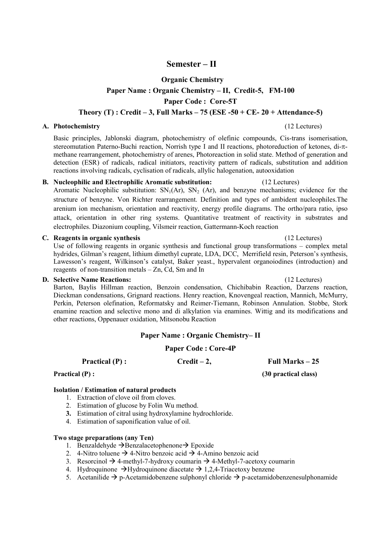## Semester – II

### Organic Chemistry

### Paper Name : Organic Chemistry – II, Credit-5, FM-100

Paper Code : Core-5T

### Theory  $(T)$ : Credit – 3, Full Marks – 75 (ESE -50 + CE- 20 + Attendance-5)

#### A. Photochemistry (12 Lectures)

Basic principles, Jablonski diagram, photochemistry of olefinic compounds, Cis-trans isomerisation, stereomutation Paterno-Buchi reaction, Norrish type I and II reactions, photoreduction of ketones, di- $\pi$ methane rearrangement, photochemistry of arenes, Photoreaction in solid state. Method of generation and detection (ESR) of radicals, radical initiators, reactivity pattern of radicals, substitution and addition reactions involving radicals, cyclisation of radicals, allylic halogenation, autooxidation

#### B. Nucleophilic and Electrophilic Aromatic substitution: (12 Lectures)

Aromatic Nucleophilic substitution:  $SN<sub>1</sub>(Ar)$ ,  $SN<sub>2</sub>(Ar)$ , and benzyne mechanisms; evidence for the structure of benzyne. Von Richter rearrangement. Definition and types of ambident nucleophiles.The arenium ion mechanism, orientation and reactivity, energy profile diagrams. The ortho/para ratio, ipso attack, orientation in other ring systems. Quantitative treatment of reactivity in substrates and electrophiles. Diazonium coupling, Vilsmeir reaction, Gattermann-Koch reaction

#### C. Reagents in organic synthesis (12 Lectures)

Use of following reagents in organic synthesis and functional group transformations – complex metal hydrides, Gilman's reagent, lithium dimethyl cuprate, LDA, DCC, Merrifield resin, Peterson's synthesis, Lawesson's reagent, Wilkinson's catalyst, Baker yeast., hypervalent organoiodines (introduction) and reagents of non-transition metals – Zn, Cd, Sm and In

#### D. Selective Name Reactions: (12 Lectures)

Barton, Baylis Hillman reaction, Benzoin condensation, Chichibabin Reaction, Darzens reaction, Dieckman condensations, Grignard reactions. Henry reaction, Knovengeal reaction, Mannich, McMurry, Perkin, Peterson olefination, Reformatsky and Reimer-Tiemann, Robinson Annulation. Stobbe, Stork enamine reaction and selective mono and di alkylation via enamines. Wittig and its modifications and other reactions, Oppenauer oxidation, Mitsonobu Reaction

### Paper Name : Organic Chemistry– II

#### Paper Code : Core-4P

## Practical (P) : Credit – 2, Full Marks – 25

Practical (P) : (30 practical class)

#### Isolation / Estimation of natural products

- 1. Extraction of clove oil from cloves.
- 2. Estimation of glucose by Folin Wu method.
- 3. Estimation of citral using hydroxylamine hydrochloride.
- 4. Estimation of saponification value of oil.

#### Two stage preparations (any Ten)

- 1. Benzaldehyde  $\rightarrow$  Benzalacetophenone $\rightarrow$  Epoxide
- 2. 4-Nitro toluene  $\rightarrow$  4-Nitro benzoic acid  $\rightarrow$  4-Amino benzoic acid
- 3. Resorcinol  $\rightarrow$  4-methyl-7-hydroxy coumarin  $\rightarrow$  4-Methyl-7-acetoxy coumarin
- 4. Hydroquinone  $\rightarrow$ Hydroquinone diacetate  $\rightarrow$  1,2,4-Triacetoxy benzene
- 5. Acetanilide  $\rightarrow$  p-Acetamidobenzene sulphonyl chloride  $\rightarrow$  p-acetamidobenzenesulphonamide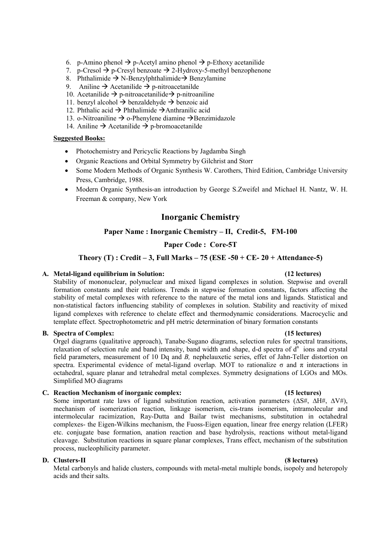- 6. p-Amino phenol  $\rightarrow$  p-Acetyl amino phenol  $\rightarrow$  p-Ethoxy acetanilide
- 7. p-Cresol  $\rightarrow$  p-Cresyl benzoate  $\rightarrow$  2-Hydroxy-5-methyl benzophenone
- 8. Phthalimide  $\rightarrow$  N-Benzylphthalimide  $\rightarrow$  Benzylamine
- 9. Aniline  $\rightarrow$  Acetanilide  $\rightarrow$  p-nitroacetanilde
- 10. Acetanilide  $\rightarrow$  p-nitroacetanilide  $\rightarrow$  p-nitroaniline
- 11. benzyl alcohol  $\rightarrow$  benzaldehyde  $\rightarrow$  benzoic aid
- 12. Phthalic acid  $\rightarrow$  Phthalimide  $\rightarrow$  Anthranilic acid
- 13. o-Nitroaniline  $\rightarrow$  o-Phenylene diamine  $\rightarrow$ Benzimidazole
- 14. Aniline  $\rightarrow$  Acetanilide  $\rightarrow$  p-bromoacetanilde

## Suggested Books:

- Photochemistry and Pericyclic Reactions by Jagdamba Singh
- Organic Reactions and Orbital Symmetry by Gilchrist and Storr
- Some Modern Methods of Organic Synthesis W. Carothers, Third Edition, Cambridge University Press, Cambridge, 1988.
- Modern Organic Synthesis-an introduction by George S.Zweifel and Michael H. Nantz, W. H. Freeman & company, New York

## Inorganic Chemistry

#### Paper Name : Inorganic Chemistry – II, Credit-5, FM-100

### Paper Code : Core-5T

#### Theory (T) : Credit – 3, Full Marks – 75 (ESE -50 + CE- 20 + Attendance-5)

#### A. Metal-ligand equilibrium in Solution: (12 lectures)

Stability of mononuclear, polynuclear and mixed ligand complexes in solution. Stepwise and overall formation constants and their relations. Trends in stepwise formation constants, factors affecting the stability of metal complexes with reference to the nature of the metal ions and ligands. Statistical and non-statistical factors influencing stability of complexes in solution. Stability and reactivity of mixed ligand complexes with reference to chelate effect and thermodynamic considerations. Macrocyclic and template effect. Spectrophotometric and pH metric determination of binary formation constants

#### B. Spectra of Complex: (15 lectures)

Orgel diagrams (qualitative approach), Tanabe-Sugano diagrams, selection rules for spectral transitions, relaxation of selection rule and band intensity, band width and shape, d-d spectra of  $d<sup>n</sup>$  ions and crystal field parameters, measurement of 10 Dq and B, nephelauxetic series, effet of Jahn-Teller distortion on spectra. Experimental evidence of metal-ligand overlap. MOT to rationalize  $\sigma$  and  $\pi$  interactions in octahedral, square planar and tetrahedral metal complexes. Symmetry designations of LGOs and MOs. Simplified MO diagrams

#### C. Reaction Mechanism of inorganic complex: (15 lectures)

Some important rate laws of ligand substitution reaction, activation parameters ( $\Delta S\#$ ,  $\Delta H\#$ ,  $\Delta V\#$ ), mechanism of isomerization reaction, linkage isomerism, cis-trans isomerism, intramolecular and intermolecular racimization, Ray-Dutta and Bailar twist mechanisms, substitution in octahedral complexes- the Eigen-Wilkins mechanism, the Fuoss-Eigen equation, linear free energy relation (LFER) etc. conjugate base formation, anation reaction and base hydrolysis, reactions without metal-ligand cleavage. Substitution reactions in square planar complexes, Trans effect, mechanism of the substitution process, nucleophilicity parameter.

#### D. Clusters-II (8 lectures)

Metal carbonyls and halide clusters, compounds with metal-metal multiple bonds, isopoly and heteropoly acids and their salts.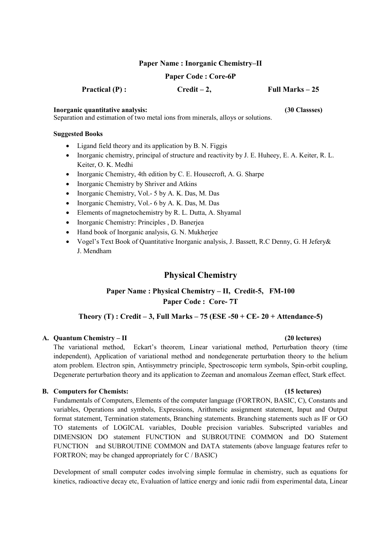#### Paper Name : Inorganic Chemistry–II

#### Paper Code : Core-6P

Practical  $(P)$ : Credit – 2, Full Marks – 25

Inorganic quantitative analysis: (30 Classses)

Separation and estimation of two metal ions from minerals, alloys or solutions.

#### Suggested Books

- Ligand field theory and its application by B. N. Figgis
- Inorganic chemistry, principal of structure and reactivity by J. E. Huheey, E. A. Keiter, R. L. Keiter, O. K. Medhi
- Inorganic Chemistry, 4th edition by C. E. Housecroft, A. G. Sharpe
- Inorganic Chemistry by Shriver and Atkins
- Inorganic Chemistry, Vol.- 5 by A. K. Das, M. Das
- Inorganic Chemistry, Vol.- 6 by A. K. Das, M. Das
- Elements of magnetochemistry by R. L. Dutta, A. Shyamal
- Inorganic Chemistry: Principles , D. Banerjea
- Hand book of Inorganic analysis, G. N. Mukherjee
- Vogel's Text Book of Quantitative Inorganic analysis, J. Bassett, R.C Denny, G. H Jefery& J. Mendham

## Physical Chemistry

## Paper Name : Physical Chemistry – II, Credit-5, FM-100 Paper Code : Core- 7T

## Theory  $(T)$ : Credit – 3, Full Marks – 75 (ESE -50 + CE- 20 + Attendance-5)

#### A. Quantum Chemistry – II (20 lectures)

The variational method, Eckart's theorem, Linear variational method, Perturbation theory (time independent), Application of variational method and nondegenerate perturbation theory to the helium atom problem. Electron spin, Antisymmetry principle, Spectroscopic term symbols, Spin-orbit coupling, Degenerate perturbation theory and its application to Zeeman and anomalous Zeeman effect, Stark effect.

#### B. Computers for Chemists: (15 lectures)

Fundamentals of Computers, Elements of the computer language (FORTRON, BASIC, C), Constants and variables, Operations and symbols, Expressions, Arithmetic assignment statement, Input and Output format statement, Termination statements, Branching statements. Branching statements such as IF or GO TO statements of LOGICAL variables, Double precision variables. Subscripted variables and DIMENSION DO statement FUNCTION and SUBROUTINE COMMON and DO Statement FUNCTION and SUBROUTINE COMMON and DATA statements (above language features refer to FORTRON; may be changed appropriately for C / BASIC)

Development of small computer codes involving simple formulae in chemistry, such as equations for kinetics, radioactive decay etc, Evaluation of lattice energy and ionic radii from experimental data, Linear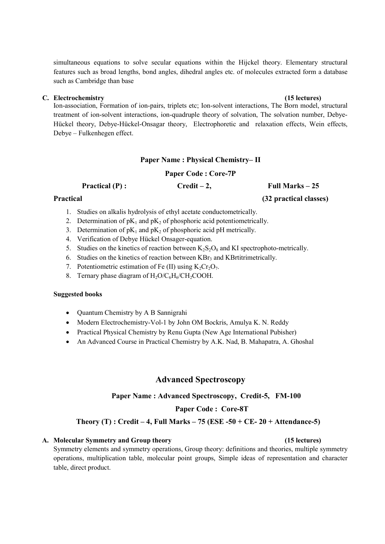simultaneous equations to solve secular equations within the Hijckel theory. Elementary structural features such as broad lengths, bond angles, dihedral angles etc. of molecules extracted form a database such as Cambridge than base

#### C. Electrochemistry (15 lectures)

Ion-association, Formation of ion-pairs, triplets etc; Ion-solvent interactions, The Born model, structural treatment of ion-solvent interactions, ion-quadruple theory of solvation, The solvation number, Debye-Hückel theory, Debye-Hückel-Onsagar theory, Electrophoretic and relaxation effects, Wein effects, Debye – Fulkenhegen effect.

### Paper Name : Physical Chemistry– II

### Paper Code : Core-7P

Practical  $(P)$ : Credit – 2, Full Marks – 25

- 1. Studies on alkalis hydrolysis of ethyl acetate conductometrically.
- 2. Determination of  $pK_1$  and  $pK_2$  of phosphoric acid potentiometrically.
- 3. Determination of  $pK_1$  and  $pK_2$  of phosphoric acid pH metrically.
- 4. Verification of Debye Hückel Onsager-equation.
- 5. Studies on the kinetics of reaction between  $K_2S_2O_8$  and KI spectrophoto-metrically.
- 6. Studies on the kinetics of reaction between  $KBr_3$  and KBrtitrimetrically.
- 7. Potentiometric estimation of Fe (II) using  $K_2Cr_2O_7$ .
- 8. Ternary phase diagram of  $H_2O/C_6H_6/CH_2COOH$ .

#### Suggested books

- Quantum Chemistry by A B Sannigrahi
- Modern Electrochemistry-Vol-1 by John OM Bockris, Amulya K. N. Reddy
- Practical Physical Chemistry by Renu Gupta (New Age International Pubisher)
- An Advanced Course in Practical Chemistry by A.K. Nad, B. Mahapatra, A. Ghoshal

## Advanced Spectroscopy

#### Paper Name : Advanced Spectroscopy, Credit-5, FM-100

#### Paper Code : Core-8T

### Theory  $(T)$ : Credit – 4, Full Marks – 75 (ESE -50 + CE- 20 + Attendance-5)

#### A. Molecular Symmetry and Group theory (15 lectures)

Symmetry elements and symmetry operations, Group theory: definitions and theories, multiple symmetry operations, multiplication table, molecular point groups, Simple ideas of representation and character table, direct product.

# Practical (32 practical classes)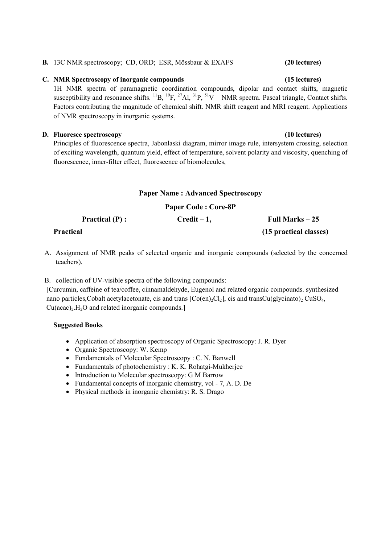# B. 13C NMR spectroscopy; CD, ORD; ESR, Mössbaur & EXAFS (20 lectures)

#### C. NMR Spectroscopy of inorganic compounds (15 lectures)

1H NMR spectra of paramagnetic coordination compounds, dipolar and contact shifts, magnetic susceptibility and resonance shifts.  ${}^{11}B$ ,  ${}^{19}F$ ,  ${}^{27}Al$ ,  ${}^{31}P$ ,  ${}^{51}V$  – NMR spectra. Pascal triangle, Contact shifts. Factors contributing the magnitude of chemical shift. NMR shift reagent and MRI reagent. Applications of NMR spectroscopy in inorganic systems.

#### D. Fluoresce spectroscopy (10 lectures)

Principles of fluorescence spectra, Jabonlaski diagram, mirror image rule, intersystem crossing, selection of exciting wavelength, quantum yield, effect of temperature, solvent polarity and viscosity, quenching of fluorescence, inner-filter effect, fluorescence of biomolecules,

#### Paper Name : Advanced Spectroscopy

#### Paper Code : Core-8P

| <b>Practical</b> $(P)$ : | $Credit - 1$ , | Full Marks $-25$       |
|--------------------------|----------------|------------------------|
| Practical                |                | (15 practical classes) |

A. Assignment of NMR peaks of selected organic and inorganic compounds (selected by the concerned teachers).

#### B. collection of UV-visible spectra of the following compounds:

[Curcumin, caffeine of tea/coffee, cinnamaldehyde, Eugenol and related organic compounds. synthesized nano particles, Cobalt acetylacetonate, cis and trans  $[Co(en)_2Cl_2]$ , cis and transCu(glycinato)<sub>2</sub> CuSO<sub>4</sub>,  $Cu(acac)_{2}$ .H<sub>2</sub>O and related inorganic compounds.]

- Application of absorption spectroscopy of Organic Spectroscopy: J. R. Dyer
- Organic Spectroscopy: W. Kemp
- Fundamentals of Molecular Spectroscopy : C. N. Banwell
- Fundamentals of photochemistry : K. K. Rohatgi-Mukherjee
- Introduction to Molecular spectroscopy: G M Barrow
- Fundamental concepts of inorganic chemistry, vol 7, A. D. De
- Physical methods in inorganic chemistry: R. S. Drago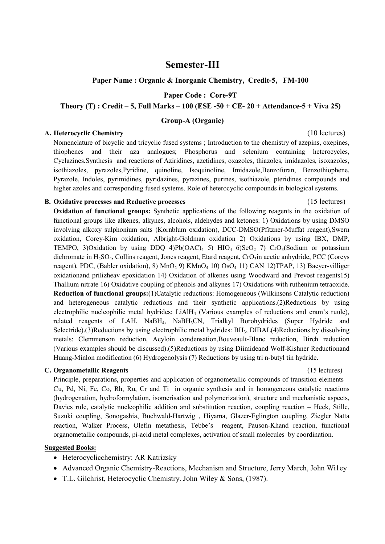## Semester-III

Paper Name : Organic & Inorganic Chemistry, Credit-5, FM-100

Paper Code : Core-9T

#### Theory (T) : Credit – 5, Full Marks –  $100$  (ESE -50 + CE- 20 + Attendance-5 + Viva 25)

### Group-A (Organic)

#### A. Heterocyclic Chemistry (10 lectures)

Nomenclature of bicyclic and tricyclic fused systems ; Introduction to the chemistry of azepins, oxepines, thiophenes and their aza analogues; Phosphorus and selenium containing heterocycles, Cyclazines.Synthesis and reactions of Aziridines, azetidines, oxazoles, thiazoles, imidazoles, isoxazoles, isothiazoles, pyrazoles,Pyridine, quinoline, Isoquinoline, Imidazole,Benzofuran, Benzothiophene, Pyrazole, Indoles, pyrimidines, pyridazines, pyrazines, purines, isothiazole, pteridines compounds and higher azoles and corresponding fused systems. Role of heterocyclic compounds in biological systems.

### B. Oxidative processes and Reductive processes (15 lectures)

## Oxidation of functional groups: Synthetic applications of the following reagents in the oxidation of functional groups like alkenes, alkynes, alcohols, aldehydes and ketones: 1) Oxidations by using DMSO involving alkoxy sulphonium salts (Kornblum oxidation), DCC-DMSO(Pfitzner-Muffat reagent),Swern oxidation, Corey-Kim oxidation, Albright-Goldman oxidation 2) Oxidations by using IBX, DMP, TEMPO, 3)Oxidation by using DDQ 4)Pb(OAC)<sub>4</sub> 5) HIO<sub>4</sub> 6)SeO<sub>2</sub> 7) CrO<sub>3</sub>(Sodium or potassium dichromate in H<sub>2</sub>SO<sub>4</sub>, Collins reagent, Jones reagent, Etard reagent, CrO<sub>3</sub>in acetic anhydride, PCC (Coreys reagent), PDC, (Babler oxidation), 8) MnO<sub>2</sub> 9) KMnO<sub>4</sub> 10) OsO<sub>4</sub> 11) CAN 12)TPAP, 13) Baeyer-villiger oxidationand prilizheav epoxidation 14) Oxidation of alkenes using Woodward and Prevost reagents15) Thallium nitrate 16) Oxidative coupling of phenols and alkynes 17) Oxidations with ruthenium tetraoxide. Reduction of functional groups:(1)Catalytic reductions: Homogeneous (Wilkinsons Catalytic reduction) and heterogeneous catalytic reductions and their synthetic applications.(2)Reductions by using electrophilic nucleophilic metal hydrides: LiAlH<sub>4</sub> (Various examples of reductions and cram's ruule), related reagents of LAH, NaBH<sub>4</sub>, NaBH<sub>3</sub>CN, Trialkyl Borohydrides (Super Hydride and Selectride).(3)Reductions by using electrophilic metal hydrides: BH3, DIBAL(4)Reductions by dissolving metals: Clemmenson reduction, Acyloin condensation,Bouveault-Blanc reduction, Birch reduction (Various examples should be discussed).(5)Reductions by using Diimideand Wolf-Kishner Reductionand Huang-Minlon modification (6) Hydrogenolysis (7) Reductions by using tri n-butyl tin hydride.

#### C. Organometallic Reagents (15 lectures)

Principle, preparations, properties and application of organometallic compounds of transition elements – Cu, Pd, Ni, Fe, Co, Rh, Ru, Cr and Ti in organic synthesis and in homogeneous catalytic reactions (hydrogenation, hydroformylation, isomerisation and polymerization), structure and mechanistic aspects, Davies rule, catalytic nucleophilic addition and substitution reaction, coupling reaction – Heck, Stille, Suzuki coupling, Sonogashia, Buchwald-Hartwig , Hiyama, Glazer-Eglington coupling, Ziegler Natta reaction, Walker Process, Olefin metathesis, Tebbe's reagent, Pauson-Khand reaction, functional organometallic compounds, pi-acid metal complexes, activation of small molecules by coordination.

- Heterocyclicchemistry: AR Katrizsky
- Advanced Organic Chemistry-Reactions, Mechanism and Structure, Jerry March, John Wi1ey
- T.L. Gilchrist, Heterocyclic Chemistry. John Wiley & Sons, (1987).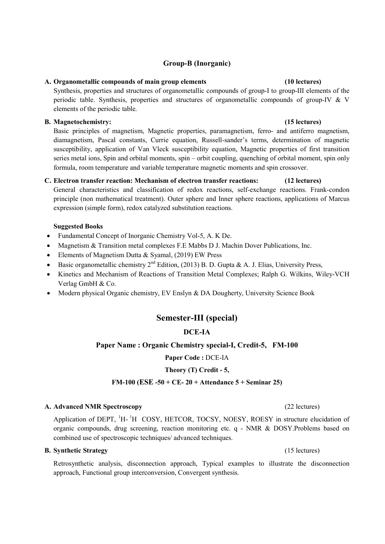### Group-B (Inorganic)

#### A. Organometallic compounds of main group elements (10 lectures)

Synthesis, properties and structures of organometallic compounds of group-I to group-III elements of the periodic table. Synthesis, properties and structures of organometallic compounds of group-IV & V elements of the periodic table.

#### B. Magnetochemistry: (15 lectures)

Basic principles of magnetism, Magnetic properties, paramagnetism, ferro- and antiferro magnetism, diamagnetism, Pascal constants, Currie equation, Russell-sander's terms, determination of magnetic susceptibility, application of Van Vleck susceptibility equation, Magnetic properties of first transition series metal ions, Spin and orbital moments, spin – orbit coupling, quenching of orbital moment, spin only formula, room temperature and variable temperature magnetic moments and spin crossover.

### C. Electron transfer reaction: Mechanism of electron transfer reactions: (12 lectures)

General characteristics and classification of redox reactions, self-exchange reactions. Frank-condon principle (non mathematical treatment). Outer sphere and Inner sphere reactions, applications of Marcus expression (simple form), redox catalyzed substitution reactions.

#### Suggested Books

- Fundamental Concept of Inorganic Chemistry Vol-5, A. K De.
- Magnetism & Transition metal complexes F.E Mabbs D J. Machin Dover Publications, Inc.
- Elements of Magnetism Dutta & Syamal, (2019) EW Press
- Basic organometallic chemistry  $2^{nd}$  Edition, (2013) B. D. Gupta & A. J. Elias, University Press,
- Kinetics and Mechanism of Reactions of Transition Metal Complexes; Ralph G. Wilkins, Wiley-VCH Verlag GmbH & Co.
- Modern physical Organic chemistry, EV Enslyn & DA Dougherty, University Science Book

## Semester-III (special)

### DCE-IA

#### Paper Name : Organic Chemistry special-I, Credit-5, FM-100

#### Paper Code : DCE-IA

#### Theory (T) Credit - 5,

#### FM-100 (ESE -50 + CE- 20 + Attendance  $5 +$  Seminar 25)

#### A. Advanced NMR Spectroscopy (22 lectures)

Application of DEPT, <sup>1</sup>H-<sup>1</sup>H COSY, HETCOR, TOCSY, NOESY, ROESY in structure elucidation of organic compounds, drug screening, reaction monitoring etc. q - NMR & DOSY.Problems based on combined use of spectroscopic techniques/ advanced techniques.

#### B. Synthetic Strategy (15 lectures) (15 lectures)

Retrosynthetic analysis, disconnection approach, Typical examples to illustrate the disconnection approach, Functional group interconversion, Convergent synthesis.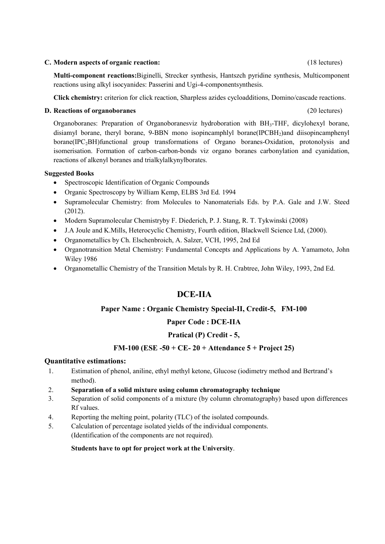#### C. Modern aspects of organic reaction: (18 lectures)

Multi-component reactions:Biginelli, Strecker synthesis, Hantszch pyridine synthesis, Multicomponent reactions using alkyl isocyanides: Passerini and Ugi-4-componentsynthesis.

Click chemistry: criterion for click reaction, Sharpless azides cycloadditions, Domino/cascade reactions.

#### D. Reactions of organoboranes (20 lectures)

Organoboranes: Preparation of Organoboranesviz hydroboration with BH3-THF, dicylohexyl borane, disiamyl borane, theryl borane, 9-BBN mono isopincamphlyl borane(IPCBH<sub>2</sub>)and diisopincamphenyl borane(IPC<sub>2</sub>BH)functional group transformations of Organo boranes-Oxidation, protonolysis and isomerisation. Formation of carbon-carbon-bonds viz organo boranes carbonylation and cyanidation, reactions of alkenyl boranes and trialkylalkynylborates.

#### Suggested Books

- Spectroscopic Identification of Organic Compounds
- Organic Spectroscopy by William Kemp, ELBS 3rd Ed. 1994
- Supramolecular Chemistry: from Molecules to Nanomaterials Eds. by P.A. Gale and J.W. Steed (2012).
- Modern Supramolecular Chemistryby F. Diederich, P. J. Stang, R. T. Tykwinski (2008)
- J.A Joule and K.Mills, Heterocyclic Chemistry, Fourth edition, Blackwell Science Ltd, (2000).
- Organometallics by Ch. Elschenbroich, A. Salzer, VCH, 1995, 2nd Ed
- Organotransition Metal Chemistry: Fundamental Concepts and Applications by A. Yamamoto, John Wiley 1986
- Organometallic Chemistry of the Transition Metals by R. H. Crabtree, John Wiley, 1993, 2nd Ed.

## DCE-IIA

### Paper Name : Organic Chemistry Special-II, Credit-5, FM-100

### Paper Code : DCE-IIA

### Pratical (P) Credit - 5,

### FM-100 (ESE -50 + CE- 20 + Attendance  $5 +$  Project 25)

### Quantitative estimations:

- 1. Estimation of phenol, aniline, ethyl methyl ketone, Glucose (iodimetry method and Bertrand's method).
- 2. Separation of a solid mixture using column chromatography technique
- 3. Separation of solid components of a mixture (by column chromatography) based upon differences Rf values.
- 4. Reporting the melting point, polarity (TLC) of the isolated compounds.
- 5. Calculation of percentage isolated yields of the individual components. (Identification of the components are not required).

#### Students have to opt for project work at the University.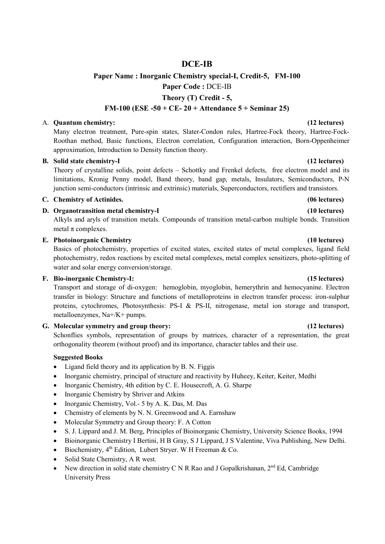## DCE-IB

## Paper Name : Inorganic Chemistry special-I, Credit-5, FM-100 Paper Code : DCE-IB Theory (T) Credit - 5,

## FM-100 (ESE -50 + CE- 20 + Attendance 5 + Seminar 25)

#### A. Quantum chemistry: (12 lectures)

Many electron treatment, Pure-spin states, Slater-Condon rules, Hartree-Fock theory, Hartree-Fock-Roothan method, Basic functions, Electron correlation, Configuration interaction, Born-Oppenheimer approximation, Introduction to Density function theory.

### B. Solid state chemistry-I (12 lectures)

Theory of crystalline solids, point defects – Schottky and Frenkel defects, free electron model and its limitations, Kronig Penny model, Band theory, band gap, metals, Insulators, Semiconductors, P-N junction semi-conductors (intrinsic and extrinsic) materials, Superconductors, rectifiers and transistors.

### C. Chemistry of Actinides. (06 lectures)

D. Organotransition metal chemistry-I (10 lectures)

Alkyls and aryls of transition metals. Compounds of transition metal-carbon multiple bonds. Transition metal  $\pi$  complexes.

### E. Photoinorganic Chemistry (10 lectures)

Basics of photochemistry, properties of excited states, excited states of metal complexes, ligand field photochemistry, redox reactions by excited metal complexes, metal complex sensitizers, photo-splitting of water and solar energy conversion/storage.

#### F. Bio-inorganic Chemistry-I: (15 lectures)

Transport and storage of di-oxygen: hemoglobin, myoglobin, hemerythrin and hemocyanine. Electron transfer in biology: Structure and functions of metalloproteins in electron transfer process: iron-sulphur proteins, cytochromes, Photosynthesis: PS-I & PS-II, nitrogenase, metal ion storage and transport, metalloenzymes, Na+/K+ pumps.

### G. Molecular symmetry and group theory: (12 lectures)

Schonflies symbols, representation of groups by matrices, character of a representation, the great orthogonality theorem (without proof) and its importance, character tables and their use.

- Ligand field theory and its application by B. N. Figgis
- Inorganic chemistry, principal of structure and reactivity by Huheey, Keiter, Keiter, Medhi
- Inorganic Chemistry, 4th edition by C. E. Housecroft, A. G. Sharpe
- Inorganic Chemistry by Shriver and Atkins
- Inorganic Chemistry, Vol.- 5 by A. K. Das, M. Das
- Chemistry of elements by N. N. Greenwood and A. Earnshaw
- Molecular Symmetry and Group theory: F. A Cotton
- S. J. Lippard and J. M. Berg, Principles of Bioinorganic Chemistry, University Science Books, 1994
- Bioinorganic Chemistry I Bertini, H B Gray, S J Lippard, J S Valentine, Viva Publishing, New Delhi.
- Biochemistry, 4<sup>th</sup> Edition, Lubert Strver. W H Freeman & Co.
- Solid State Chemistry, A R west.
- New direction in solid state chemistry C N R Rao and J Gopalkrishanan,  $2^{nd}$  Ed, Cambridge University Press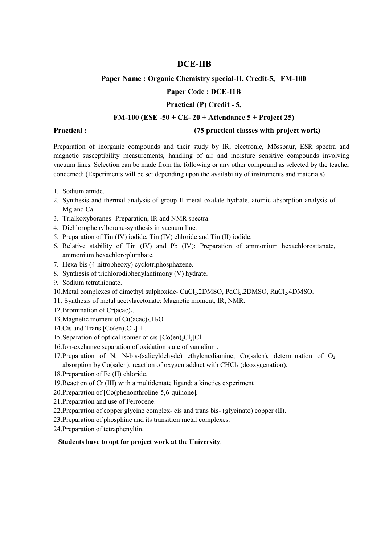## DCE-IIB

#### Paper Name : Organic Chemistry special-II, Credit-5, FM-100

### Paper Code : DCE-I1B

#### Practical (P) Credit - 5,

## FM-100 (ESE -50 + CE- 20 + Attendance  $5 +$  Project 25)

Practical : (75 practical classes with project work)

Preparation of inorganic compounds and their study by IR, electronic, Mössbaur, ESR spectra and magnetic susceptibility measurements, handling of air and moisture sensitive compounds involving vacuum lines. Selection can be made from the following or any other compound as selected by the teacher concerned: (Experiments will be set depending upon the availability of instruments and materials)

- 1. Sodium amide.
- 2. Synthesis and thermal analysis of group II metal oxalate hydrate, atomic absorption analysis of Mg and Ca.
- 3. Trialkoxyboranes- Preparation, IR and NMR spectra.
- 4. Dichlorophenylborane-synthesis in vacuum line.
- 5. Preparation of Tin (IV) iodide, Tin (IV) chloride and Tin (II) iodide.
- 6. Relative stability of Tin (IV) and Pb (IV): Preparation of ammonium hexachlorosttanate, ammonium hexachloroplumbate.
- 7. Hexa-bis (4-nitropheoxy) cyclotriphosphazene.
- 8. Synthesis of trichlorodiphenylantimony (V) hydrate.
- 9. Sodium tetrathionate.
- 10. Metal complexes of dimethyl sulphoxide- CuCl<sub>2</sub>.2DMSO, PdCl<sub>2</sub>.2DMSO, RuCl<sub>2</sub>.4DMSO.
- 11. Synthesis of metal acetylacetonate: Magnetic moment, IR, NMR.
- 12. Bromination of  $Cr(\text{acac})_3$ .
- 13. Magnetic moment of  $Cu(acac)_{2}$ . H<sub>2</sub>O.
- 14.Cis and Trans  $[Co(en)_2Cl_2]$  + .
- 15. Separation of optical isomer of cis- $[Co(en)_{2}Cl_{2}Cl$ .
- 16.Ion-exchange separation of oxidation state of vanadium.
- 17. Preparation of N, N-bis-(salicyldehyde) ethylenediamine, Co(salen), determination of  $O_2$ absorption by Co(salen), reaction of oxygen adduct with CHCl<sub>3</sub> (deoxygenation).
- 18.Preparation of Fe (II) chloride.
- 19.Reaction of Cr (III) with a multidentate ligand: a kinetics experiment
- 20.Preparation of [Co(phenonthroline-5,6-quinone].
- 21.Preparation and use of Ferrocene.
- 22.Preparation of copper glycine complex- cis and trans bis- (glycinato) copper (II).
- 23.Preparation of phosphine and its transition metal complexes.
- 24.Preparation of tetraphenyltin.

#### Students have to opt for project work at the University.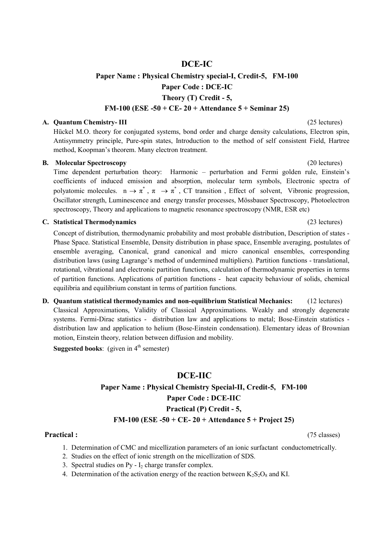## DCE-IC

# Paper Name : Physical Chemistry special-I, Credit-5, FM-100 Paper Code : DCE-IC Theory (T) Credit - 5,

#### FM-100 (ESE -50 + CE- 20 + Attendance 5 + Seminar 25)

#### A. Quantum Chemistry- III (25 lectures)

Hückel M.O. theory for conjugated systems, bond order and charge density calculations, Electron spin, Antisymmetry principle, Pure-spin states, Introduction to the method of self consistent Field, Hartree method, Koopman's theorem. Many electron treatment.

#### B. Molecular Spectroscopy (20 lectures)

Time dependent perturbation theory: Harmonic – perturbation and Fermi golden rule, Einstein's coefficients of induced emission and absorption, molecular term symbols, Electronic spectra of polyatomic molecules.  $n \to \pi^*$ ,  $\pi \to \pi^*$ , CT transition, Effect of solvent, Vibronic progression, Oscillator strength, Luminescence and energy transfer processes, Mössbauer Spectroscopy, Photoelectron spectroscopy, Theory and applications to magnetic resonance spectroscopy (NMR, ESR etc)

#### C. Statistical Thermodynamics (23 lectures)

Concept of distribution, thermodynamic probability and most probable distribution, Description of states - Phase Space. Statistical Ensemble, Density distribution in phase space, Ensemble averaging, postulates of ensemble averaging, Canonical, grand canonical and micro canonical ensembles, corresponding distribution laws (using Lagrange's method of undermined multipliers). Partition functions - translational, rotational, vibrational and electronic partition functions, calculation of thermodynamic properties in terms of partition functions. Applications of partition functions - heat capacity behaviour of solids, chemical equilibria and equilibrium constant in terms of partition functions.

D. Quantum statistical thermodynamics and non-equilibrium Statistical Mechanics: (12 lectures) Classical Approximations, Validity of Classical Approximations. Weakly and strongly degenerate systems. Fermi-Dirac statistics - distribution law and applications to metal; Bose-Einstein statistics distribution law and application to helium (Bose-Einstein condensation). Elementary ideas of Brownian motion, Einstein theory, relation between diffusion and mobility.

**Suggested books:** (given in  $4<sup>th</sup>$  semester)

#### DCE-IIC

## Paper Name : Physical Chemistry Special-II, Credit-5, FM-100 Paper Code : DCE-IIC Practical (P) Credit - 5, FM-100 (ESE -50 + CE- 20 + Attendance  $5 +$  Project 25)

#### Practical : (75 classes)

- 1. Determination of CMC and micellization parameters of an ionic surfactant conductometrically.
- 2. Studies on the effect of ionic strength on the micellization of SDS.
- 3. Spectral studies on  $Py I_2$  charge transfer complex.
- 4. Determination of the activation energy of the reaction between  $K_2S_2O_8$  and KI.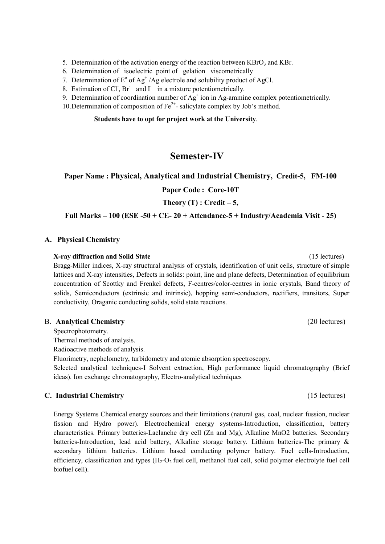5. Determination of the activation energy of the reaction between  $KBrO_3$  and KBr.

- 6. Determination of isoelectric point of gelation viscometrically
- 7. Determination of  $E^{\circ}$  of Ag<sup>+</sup>/Ag electrole and solubility product of AgCl.
- 8. Estimation of Cl, Br and I in a mixture potentiometrically.
- 9. Determination of coordination number of  $Ag^+$  ion in Ag-ammine complex potentiometrically.
- 10. Determination of composition of  $Fe^{2+}$  salicylate complex by Job's method.

#### Students have to opt for project work at the University.

## Semester-IV

#### Paper Name : Physical, Analytical and Industrial Chemistry, Credit-5, FM-100

Paper Code : Core-10T

#### Theory  $(T)$ : Credit – 5,

### Full Marks – 100 (ESE -50 + CE- 20 + Attendance-5 + Industry/Academia Visit - 25)

#### A. Physical Chemistry

#### X-ray diffraction and Solid State (15 lectures)

Bragg-Miller indices, X-ray structural analysis of crystals, identification of unit cells, structure of simple lattices and X-ray intensities, Defects in solids: point, line and plane defects, Determination of equilibrium concentration of Scottky and Frenkel defects, F-centres/color-centres in ionic crystals, Band theory of solids, Semiconductors (extrinsic and intrinsic), hopping semi-conductors, rectifiers, transitors, Super conductivity, Oraganic conducting solids, solid state reactions.

#### B. Analytical Chemistry (20 lectures)

Spectrophotometry.

Thermal methods of analysis.

Radioactive methods of analysis.

Fluorimetry, nephelometry, turbidometry and atomic absorption spectroscopy.

Selected analytical techniques-I Solvent extraction, High performance liquid chromatography (Brief ideas). Ion exchange chromatography, Electro-analytical techniques

#### C. Industrial Chemistry (15 lectures)

Energy Systems Chemical energy sources and their limitations (natural gas, coal, nuclear fussion, nuclear fission and Hydro power). Electrochemical energy systems-Introduction, classification, battery characteristics. Primary batteries-Laclanche dry cell (Zn and Mg), Alkaline MnO2 batteries. Secondary batteries-Introduction, lead acid battery, Alkaline storage battery. Lithium batteries-The primary & secondary lithium batteries. Lithium based conducting polymer battery. Fuel cells-Introduction, efficiency, classification and types  $(H_2-O_2)$  fuel cell, methanol fuel cell, solid polymer electrolyte fuel cell biofuel cell).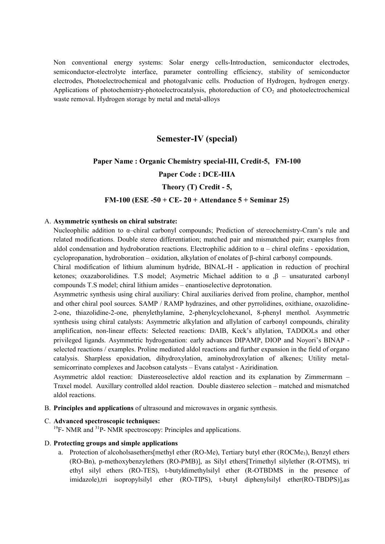Non conventional energy systems: Solar energy cells-Introduction, semiconductor electrodes, semiconductor-electrolyte interface, parameter controlling efficiency, stability of semiconductor electrodes, Photoelectrochemical and photogalvanic cells. Production of Hydrogen, hydrogen energy. Applications of photochemistry-photoelectrocatalysis, photoreduction of  $CO<sub>2</sub>$  and photoelectrochemical waste removal. Hydrogen storage by metal and metal-alloys

## Semester-IV (special)

#### Paper Name : Organic Chemistry special-III, Credit-5, FM-100

#### Paper Code : DCE-IIIA

#### Theory (T) Credit - 5,

#### FM-100 (ESE -50 + CE- 20 + Attendance  $5 +$  Seminar 25)

#### A. Asymmetric synthesis on chiral substrate:

Nucleophilic addition to α–chiral carbonyl compounds; Prediction of stereochemistry-Cram's rule and related modifications. Double stereo differentiation; matched pair and mismatched pair; examples from aldol condensation and hydroboration reactions. Electrophilic addition to  $\alpha$  – chiral olefins - epoxidation, cyclopropanation, hydroboration – oxidation, alkylation of enolates of β-chiral carbonyl compounds.

Chiral modification of lithium aluminum hydride, BINAL-H - application in reduction of prochiral ketones; oxazaborolidines. T.S model; Asymetric Michael addition to  $\alpha$ ,  $\beta$  – unsaturated carbonyl compounds T.S model; chiral lithium amides – enantioselective deprotonation.

Asymmetric synthesis using chiral auxiliary: Chiral auxiliaries derived from proline, champhor, menthol and other chiral pool sources. SAMP / RAMP hydrazines, and other pyrrolidines, oxithiane, oxazolidine-2-one, thiazolidine-2-one, phenylethylamine, 2-phenylcyclohexanol, 8-phenyl menthol. Asymmetric synthesis using chiral catalysts: Asymmetric alkylation and allylation of carbonyl compounds, chirality amplification, non-linear effects: Selected reactions: DAIB, Keck's allylation, TADDOLs and other privileged ligands. Asymmetric hydrogenation: early advances DIPAMP, DIOP and Noyori's BINAP selected reactions / examples. Proline mediated aldol reactions and further expansion in the field of organo catalysis. Sharpless epoxidation, dihydroxylation, aminohydroxylation of alkenes; Utility metalsemicorrinato complexes and Jacobson catalysts – Evans catalyst - Aziridination.

Asymmetric aldol reaction: Diastereoselective aldol reaction and its explanation by Zimmermann – Traxel model. Auxillary controlled aldol reaction. Double diastereo selection – matched and mismatched aldol reactions.

B. Principles and applications of ultrasound and microwaves in organic synthesis.

### C. Advanced spectroscopic techniques:

 $19F$ - NMR and  $31P$ - NMR spectroscopy: Principles and applications.

### D. Protecting groups and simple applications

a. Protection of alcoholsasethers[methyl ether (RO-Me), Tertiary butyl ether (ROCMe<sub>3</sub>), Benzyl ethers (RO-Bn), p-methoxybenzylethers (RO-PMB)], as Silyl ethers[Trimethyl silylether (R-OTMS), tri ethyl silyl ethers (RO-TES), t-butyldimethylsilyl ether (R-OTBDMS in the presence of imidazole),tri isopropylsilyl ether (RO-TIPS), t-butyl diphenylsilyl ether(RO-TBDPS)],as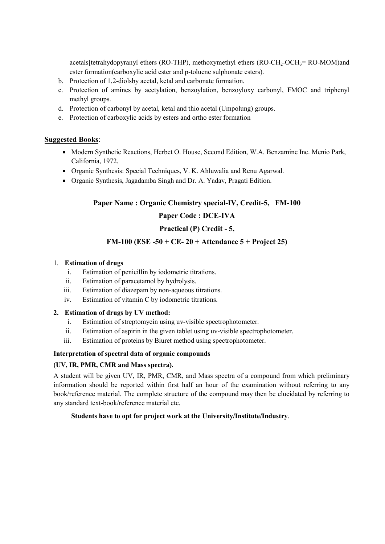acetals[tetrahydopyranyl ethers (RO-THP), methoxymethyl ethers (RO-CH<sub>2</sub>-OCH<sub>3</sub>= RO-MOM)and ester formation(carboxylic acid ester and p-toluene sulphonate esters).

- b. Protection of 1,2-diolsby acetal, ketal and carbonate formation.
- c. Protection of amines by acetylation, benzoylation, benzoyloxy carbonyl, FMOC and triphenyl methyl groups.
- d. Protection of carbonyl by acetal, ketal and thio acetal (Umpolung) groups.
- e. Protection of carboxylic acids by esters and ortho ester formation

### Suggested Books:

- Modern Synthetic Reactions, Herbet O. House, Second Edition, W.A. Benzamine Inc. Menio Park, California, 1972.
- Organic Synthesis: Special Techniques, V. K. Ahluwalia and Renu Agarwal.
- Organic Synthesis, Jagadamba Singh and Dr. A. Yadav, Pragati Edition.

### Paper Name : Organic Chemistry special-IV, Credit-5, FM-100

## Paper Code : DCE-IVA

## Practical (P) Credit - 5,

### FM-100 (ESE -50 + CE- 20 + Attendance  $5 +$  Project 25)

#### 1. Estimation of drugs

- i. Estimation of penicillin by iodometric titrations.
- ii. Estimation of paracetamol by hydrolysis.
- iii. Estimation of diazepam by non-aqueous titrations.
- iv. Estimation of vitamin C by iodometric titrations.

#### 2. Estimation of drugs by UV method:

- i. Estimation of streptomycin using uv-visible spectrophotometer.
- ii. Estimation of aspirin in the given tablet using uv-visible spectrophotometer.
- iii. Estimation of proteins by Biuret method using spectrophotometer.

### Interpretation of spectral data of organic compounds

#### (UV, IR, PMR, CMR and Mass spectra).

A student will be given UV, IR, PMR, CMR, and Mass spectra of a compound from which preliminary information should be reported within first half an hour of the examination without referring to any book/reference material. The complete structure of the compound may then be elucidated by referring to any standard text-book/reference material etc.

#### Students have to opt for project work at the University/Institute/Industry.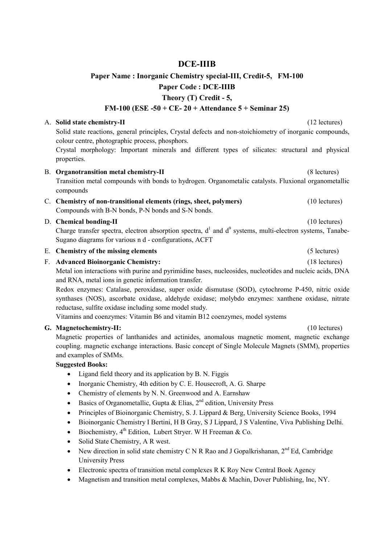## DCE-IIIB

## Paper Name : Inorganic Chemistry special-III, Credit-5, FM-100 Paper Code : DCE-IIIB Theory (T) Credit - 5,

## FM-100 (ESE -50 + CE- 20 + Attendance 5 + Seminar 25)

#### A. Solid state chemistry-II (12 lectures)

Solid state reactions, general principles, Crystal defects and non-stoichiometry of inorganic compounds, colour centre, photographic process, phosphors.

Crystal morphology: Important minerals and different types of silicates: structural and physical properties.

### B. Organotransition metal chemistry-II (8 lectures) Transition metal compounds with bonds to hydrogen. Organometalic catalysts. Fluxional organometallic compounds

C. Chemistry of non-transitional elements (rings, sheet, polymers) (10 lectures) Compounds with B-N bonds, P-N bonds and S-N bonds.

#### D. **Chemical bonding-II** (10 lectures) (10 lectures)

Charge transfer spectra, electron absorption spectra,  $d^1$  and  $d^9$  systems, multi-electron systems, Tanabe-Sugano diagrams for various n d - configurations, ACFT

#### E. Chemistry of the missing elements (5 lectures)

### F. Advanced Bioinorganic Chemistry: (18 lectures)

Metal ion interactions with purine and pyrimidine bases, nucleosides, nucleotides and nucleic acids, DNA and RNA, metal ions in genetic information transfer.

Redox enzymes: Catalase, peroxidase, super oxide dismutase (SOD), cytochrome P-450, nitric oxide synthases (NOS), ascorbate oxidase, aldehyde oxidase; molybdo enzymes: xanthene oxidase, nitrate reductase, sulfite oxidase including some model study.

Vitamins and coenzymes: Vitamin B6 and vitamin B12 coenzymes, model systems

### G. Magnetochemistry-II: (10 lectures)

Magnetic properties of lanthanides and actinides, anomalous magnetic moment, magnetic exchange coupling. magnetic exchange interactions. Basic concept of Single Molecule Magnets (SMM), properties and examples of SMMs.

- Ligand field theory and its application by B. N. Figgis
- Inorganic Chemistry, 4th edition by C. E. Housecroft, A. G. Sharpe
- Chemistry of elements by N. N. Greenwood and A. Earnshaw
- Basics of Organometallic, Gupta & Elias,  $2<sup>nd</sup>$  edition, University Press
- Principles of Bioinorganic Chemistry, S. J. Lippard & Berg, University Science Books, 1994
- Bioinorganic Chemistry I Bertini, H B Gray, S J Lippard, J S Valentine, Viva Publishing Delhi.
- $\bullet$  Biochemistry, 4<sup>th</sup> Edition, Lubert Stryer. W H Freeman & Co.
- Solid State Chemistry, A R west.
- New direction in solid state chemistry C N R Rao and J Gopalkrishanan,  $2<sup>nd</sup>$  Ed, Cambridge University Press
- Electronic spectra of transition metal complexes R K Roy New Central Book Agency
- Magnetism and transition metal complexes, Mabbs & Machin, Dover Publishing, Inc, NY.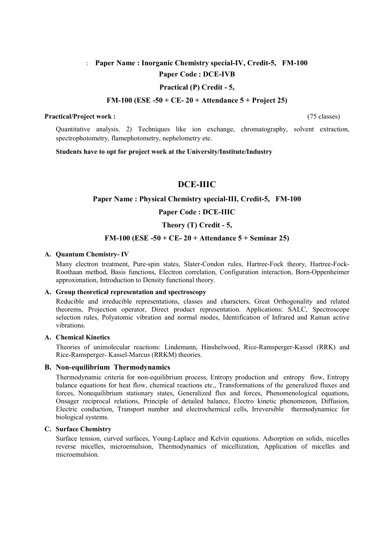## : Paper Name : Inorganic Chemistry special-IV, Credit-5, FM-100 Paper Code : DCE-IVB

#### Practical (P) Credit - 5,

#### FM-100 (ESE -50 + CE- 20 + Attendance  $5 +$  Project 25)

#### Practical/Project work : (75 classes)

Quantitative analysis. 2) Techniques like ion exchange, chromatography, solvent extraction, spectrophotometry, flamephotometry, nephelometry ete.

Students have to opt for project work at the University/Institute/Industry

## DCE-IIIC

#### Paper Name : Physical Chemistry special-III, Credit-5, FM-100

#### Paper Code : DCE-IIIC

#### Theory (T) Credit - 5,

### FM-100 (ESE -50 + CE- 20 + Attendance  $5 +$  Seminar 25)

#### A. Quantum Chemistry- IV

Many electron treatment, Pure-spin states, Slater-Condon rules, Hartree-Fock theory, Hartree-Fock-Roothaan method, Basis functions, Electron correlation, Configuration interaction, Born-Oppenheimer approximation, Introduction to Density functional theory.

#### A. Group theoretical representation and spectroscopy

Reducible and irreducible representations, classes and characters, Great Orthogonality and related theorems, Projection operator, Direct product representation. Applications: SALC, Spectroscope selection rules, Polyatomic vibration and normal modes, Identification of Infrared and Raman active vibrations.

#### A. Chemical Kinetics

Theories of unimolecular reactions: Lindemann, Hinshelwood, Rice-Ramsperger-Kassel (RRK) and Rice-Ramsperger- Kassel-Marcus (RRKM) theories.

#### B. Non-equilibrium Thermodynamics

Thermodynamic criteria for non-equilibrium process, Entropy production and entropy flow, Entropy balance equations for heat flow, chemical reactions etc., Transformations of the generalized fluxes and forces, Nonequilibrium stationary states, Generalized flux and forces, Phenomenological equations, Onsager reciprocal relations, Principle of detailed balance, Electro kinetic phenomenon, Diffusion, Electric conduction, Transport number and electrochemical cells, Irreversible thermodynamicc for biological systems.

#### C. Surface Chemistry

Surface tension, curved surfaces, Young-Laplace and Kelvin equations. Adsorption on solids, micelles reverse micelles, microemulsion, Thermodynamics of micellization, Application of micelles and microemulsion.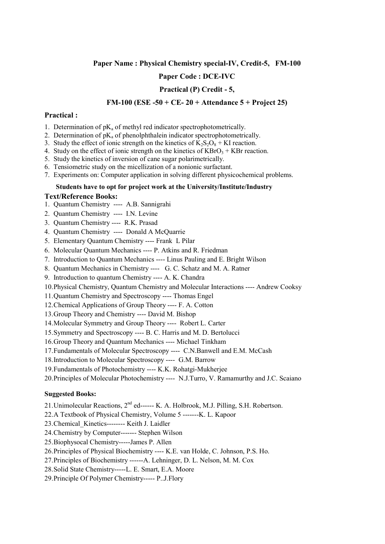#### Paper Name : Physical Chemistry special-IV, Credit-5, FM-100

### Paper Code : DCE-IVC

### Practical (P) Credit - 5,

#### FM-100 (ESE -50 + CE- 20 + Attendance  $5 +$  Project 25)

#### Practical :

- 1. Determination of  $pK_a$  of methyl red indicator spectrophotometrically.
- 2. Determination of  $pK_a$  of phenolphthalein indicator spectrophotometrically.
- 3. Study the effect of ionic strength on the kinetics of  $K_2S_2O_8 + KI$  reaction.
- 4. Study on the effect of ionic strength on the kinetics of  $KBrO<sub>3</sub> + KBr$  reaction.
- 5. Study the kinetics of inversion of cane sugar polarimetrically.
- 6. Tensiometric study on the micellization of a nonionic surfactant.
- 7. Experiments on: Computer application in solving different physicochemical problems.

#### Students have to opt for project work at the University/Institute/Industry

#### Text/Reference Books:

- 1. Quantum Chemistry ---- A.B. Sannigrahi
- 2. Quantum Chemistry ---- I.N. Levine
- 3. Quantum Chemistry ---- R.K. Prasad
- 4. Quantum Chemistry ---- Donald A McQuarrie
- 5. Elementary Quantum Chemistry ---- Frank L Pilar
- 6. Molecular Quantum Mechanics ---- P. Atkins and R. Friedman
- 7. Introduction to Quantum Mechanics ---- Linus Pauling and E. Bright Wilson
- 8. Quantum Mechanics in Chemistry ---- G. C. Schatz and M. A. Ratner
- 9. Introduction to quantum Chemistry ---- A. K. Chandra
- 10.Physical Chemistry, Quantum Chemistry and Molecular Interactions ---- Andrew Cooksy
- 11.Quantum Chemistry and Spectroscopy ---- Thomas Engel
- 12.Chemical Applications of Group Theory ---- F. A. Cotton
- 13.Group Theory and Chemistry ---- David M. Bishop
- 14.Molecular Symmetry and Group Theory ---- Robert L. Carter
- 15.Symmetry and Spectroscopy ---- B. C. Harris and M. D. Bertolucci
- 16.Group Theory and Quantum Mechanics ---- Michael Tinkham
- 17.Fundamentals of Molecular Spectroscopy ---- C.N.Banwell and E.M. McCash
- 18.Introduction to Molecular Spectroscopy ---- G.M. Barrow
- 19.Fundamentals of Photochemistry ---- K.K. Rohatgi-Mukherjee
- 20.Principles of Molecular Photochemistry ---- N.J.Turro, V. Ramamurthy and J.C. Scaiano

- 21.Unimolecular Reactions, 2nd ed------ K. A. Holbrook, M.J. Pilling, S.H. Robertson.
- 22.A Textbook of Physical Chemistry, Volume 5 -------K. L. Kapoor
- 23.Chemical\_Kinetics-------- Keith J. Laidler
- 24.Chemistry by Computer------- Stephen Wilson
- 25.Biophysocal Chemistry-----James P. Allen
- 26.Principles of Physical Biochemistry ---- K.E. van Holde, C. Johnson, P.S. Ho.
- 27.Principles of Biochemistry ------A. Lehninger, D. L. Nelson, M. M. Cox
- 28.Solid State Chemistry-----L. E. Smart, E.A. Moore
- 29.Principle Of Polymer Chemistry----- P..J.Flory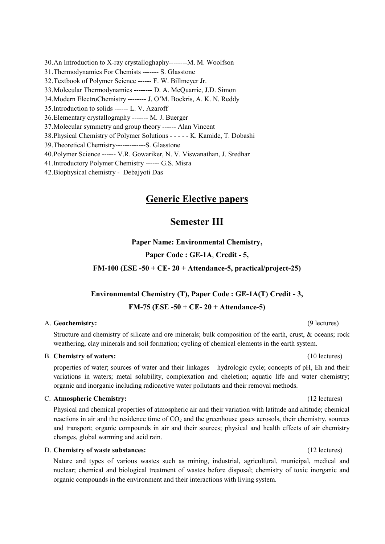30.An Introduction to X-ray crystalloghaphy--------M. M. Woolfson 31.Thermodynamics For Chemists ------- S. Glasstone 32.Textbook of Polymer Science ------ F. W. Billmeyer Jr. 33.Molecular Thermodynamics -------- D. A. McQuarrie, J.D. Simon 34.Modern ElectroChemistry -------- J. O'M. Bockris, A. K. N. Reddy 35.Introduction to solids ------ L. V. Azaroff 36.Elementary crystallography ------- M. J. Buerger 37.Molecular symmetry and group theory ------ Alan Vincent 38.Physical Chemistry of Polymer Solutions - - - - - K. Kamide, T. Dobashi 39.Theoretical Chemistry-------------S. Glasstone 40.Polymer Science ------ V.R. Gowariker, N. V. Viswanathan, J. Sredhar 41.Introductory Polymer Chemistry ------ G.S. Misra 42.Biophysical chemistry - Debajyoti Das

## Generic Elective papers

## Semester III

Paper Name: Environmental Chemistry,

#### Paper Code : GE-1A, Credit - 5,

FM-100 (ESE -50 + CE- 20 + Attendance-5, practical/project-25)

# Environmental Chemistry (T), Paper Code : GE-1A(T) Credit - 3,

FM-75 (ESE -50 + CE- 20 + Attendance-5)

### A. Geochemistry: (9 lectures)

Structure and chemistry of silicate and ore minerals; bulk composition of the earth, crust, & oceans; rock weathering, clay minerals and soil formation; cycling of chemical elements in the earth system.

#### B. Chemistry of waters: (10 lectures)

properties of water; sources of water and their linkages – hydrologic cycle; concepts of pH, Eh and their variations in waters; metal solubility, complexation and cheletion; aquatic life and water chemistry; organic and inorganic including radioactive water pollutants and their removal methods.

#### C. Atmospheric Chemistry: (12 lectures)

Physical and chemical properties of atmospheric air and their variation with latitude and altitude; chemical reactions in air and the residence time of  $CO<sub>2</sub>$  and the greenhouse gases aerosols, their chemistry, sources and transport; organic compounds in air and their sources; physical and health effects of air chemistry changes, global warming and acid rain.

#### D. Chemistry of waste substances: (12 lectures) (12 lectures)

Nature and types of various wastes such as mining, industrial, agricultural, municipal, medical and nuclear; chemical and biological treatment of wastes before disposal; chemistry of toxic inorganic and organic compounds in the environment and their interactions with living system.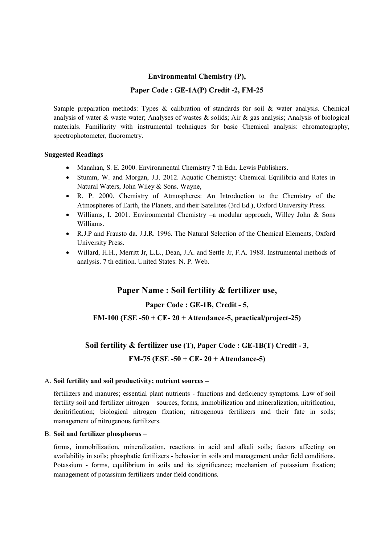### Environmental Chemistry (P),

### Paper Code : GE-1A(P) Credit -2, FM-25

Sample preparation methods: Types & calibration of standards for soil & water analysis. Chemical analysis of water & waste water; Analyses of wastes & solids; Air & gas analysis; Analysis of biological materials. Familiarity with instrumental techniques for basic Chemical analysis: chromatography, spectrophotometer, fluorometry.

#### Suggested Readings

- Manahan, S. E. 2000. Environmental Chemistry 7 th Edn. Lewis Publishers.
- Stumm, W. and Morgan, J.J. 2012. Aquatic Chemistry: Chemical Equilibria and Rates in Natural Waters, John Wiley & Sons. Wayne,
- R. P. 2000. Chemistry of Atmospheres: An Introduction to the Chemistry of the Atmospheres of Earth, the Planets, and their Satellites (3rd Ed.), Oxford University Press.
- Williams, I. 2001. Environmental Chemistry –a modular approach, Willey John & Sons Williams.
- R.J.P and Frausto da. J.J.R. 1996. The Natural Selection of the Chemical Elements, Oxford University Press.
- Willard, H.H., Merritt Jr, L.L., Dean, J.A. and Settle Jr, F.A. 1988. Instrumental methods of analysis. 7 th edition. United States: N. P. Web.

## Paper Name : Soil fertility & fertilizer use,

### Paper Code : GE-1B, Credit - 5,

#### FM-100 (ESE -50 + CE-  $20 +$  Attendance-5, practical/project-25)

# Soil fertility & fertilizer use (T), Paper Code : GE-1B(T) Credit - 3,  $FM-75$  (ESE  $-50 + CE- 20 + Attendance-5$ )

#### A. Soil fertility and soil productivity; nutrient sources –

fertilizers and manures; essential plant nutrients - functions and deficiency symptoms. Law of soil fertility soil and fertilizer nitrogen – sources, forms, immobilization and mineralization, nitrification, denitrification; biological nitrogen fixation; nitrogenous fertilizers and their fate in soils; management of nitrogenous fertilizers.

#### B. Soil and fertilizer phosphorus –

forms, immobilization, mineralization, reactions in acid and alkali soils; factors affecting on availability in soils; phosphatic fertilizers - behavior in soils and management under field conditions. Potassium - forms, equilibrium in soils and its significance; mechanism of potassium fixation; management of potassium fertilizers under field conditions.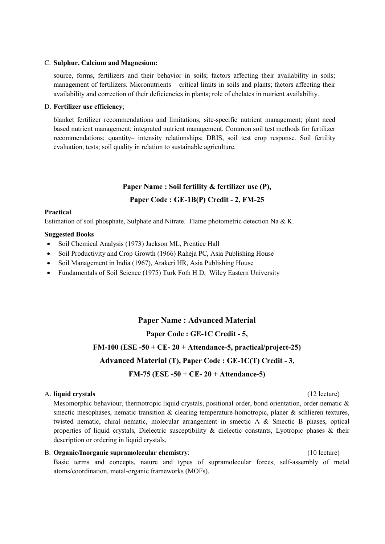#### C. Sulphur, Calcium and Magnesium:

source, forms, fertilizers and their behavior in soils; factors affecting their availability in soils; management of fertilizers. Micronutrients – critical limits in soils and plants; factors affecting their availability and correction of their deficiencies in plants; role of chelates in nutrient availability.

#### D. Fertilizer use efficiency;

blanket fertilizer recommendations and limitations; site-specific nutrient management; plant need based nutrient management; integrated nutrient management. Common soil test methods for fertilizer recommendations; quantity– intensity relationships; DRIS, soil test crop response. Soil fertility evaluation, tests; soil quality in relation to sustainable agriculture.

### Paper Name : Soil fertility & fertilizer use (P),

### Paper Code : GE-1B(P) Credit - 2, FM-25

#### Practical

Estimation of soil phosphate, Sulphate and Nitrate. Flame photometric detection Na & K.

#### Suggested Books

- Soil Chemical Analysis (1973) Jackson ML, Prentice Hall
- Soil Productivity and Crop Growth (1966) Raheja PC, Asia Publishing House
- Soil Management in India (1967), Arakeri HR, Asia Publishing House
- Fundamentals of Soil Science (1975) Turk Foth H D, Wiley Eastern University

## Paper Name : Advanced Material

## Paper Code : GE-1C Credit - 5,

### FM-100 (ESE -50 + CE- 20 + Attendance-5, practical/project-25)

### Advanced Material (T), Paper Code : GE-1C(T) Credit - 3,

### FM-75 (ESE -50 + CE- 20 + Attendance-5)

#### A. liquid crystals (12 lecture)

Mesomorphic behaviour, thermotropic liquid crystals, positional order, bond orientation, order nematic  $\&$ smectic mesophases, nematic transition & clearing temperature-homotropic, planer & schlieren textures, twisted nematic, chiral nematic, molecular arrangement in smectic A & Smectic B phases, optical properties of liquid crystals, Dielectric susceptibility & dielectic constants, Lyotropic phases & their description or ordering in liquid crystals,

#### B. Organic/Inorganic supramolecular chemistry: (10 lecture)

Basic terms and concepts, nature and types of supramolecular forces, self-assembly of metal atoms/coordination, metal-organic frameworks (MOFs).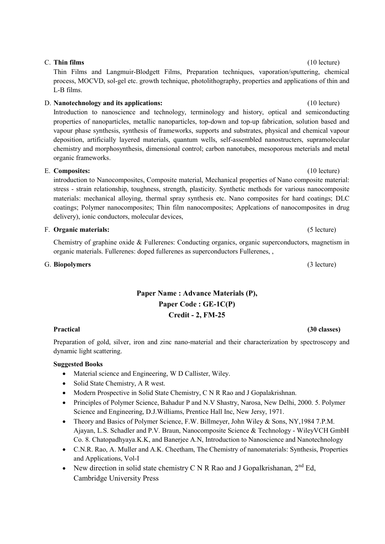# C. Thin films (10 lecture)

Thin Films and Langmuir-Blodgett Films, Preparation techniques, vaporation/sputtering, chemical process, MOCVD, sol-gel etc. growth technique, photolithography, properties and applications of thin and L-B films.

#### D. Nanotechnology and its applications: (10 lecture)

Introduction to nanoscience and technology, terminology and history, optical and semiconducting properties of nanoparticles, metallic nanoparticles, top-down and top-up fabrication, solution based and vapour phase synthesis, synthesis of frameworks, supports and substrates, physical and chemical vapour deposition, artificially layered materials, quantum wells, self-assembled nanostructers, supramolecular chemistry and morphosynthesis, dimensional control; carbon nanotubes, mesoporous meterials and metal organic frameworks.

### E. Composites: (10 lecture)

introduction to Nanocomposites, Composite material, Mechanical properties of Nano composite material: stress - strain relationship, toughness, strength, plasticity. Synthetic methods for various nanocomposite materials: mechanical alloying, thermal spray synthesis etc. Nano composites for hard coatings; DLC coatings; Polymer nanocomposites; Thin film nanocomposites; Applcations of nanocomposites in drug delivery), ionic conductors, molecular devices,

### F. Organic materials: (5 lecture)

Chemistry of graphine oxide & Fullerenes: Conducting organics, organic superconductors, magnetism in organic materials. Fullerenes: doped fullerenes as superconductors Fullerenes, ,

### G. Biopolymers (3 lecture)

## Paper Name : Advance Materials (P), Paper Code : GE-1C(P) Credit - 2, FM-25

#### Practical (30 classes) (30 classes)

Preparation of gold, silver, iron and zinc nano-material and their characterization by spectroscopy and dynamic light scattering.

- Material science and Engineering, W D Callister, Wiley.
- Solid State Chemistry, A R west.
- Modern Prospective in Solid State Chemistry, C N R Rao and J Gopalakrishnan.
- Principles of Polymer Science, Bahadur P and N.V Shastry, Narosa, New Delhi, 2000. 5. Polymer Science and Engineering, D.J.Williams, Prentice Hall Inc, New Jersy, 1971.
- Theory and Basics of Polymer Science, F.W. Billmeyer, John Wiley & Sons, NY,1984 7.P.M. Ajayan, L.S. Schadler and P.V. Braun, Nanocomposite Science & Technology - WileyVCH GmbH Co. 8. Chatopadhyaya.K.K, and Banerjee A.N, Introduction to Nanoscience and Nanotechnology
- C.N.R. Rao, A. Muller and A.K. Cheetham, The Chemistry of nanomaterials: Synthesis, Properties and Applications, Vol-I
- New direction in solid state chemistry C N R Rao and J Gopalkrishanan,  $2^{nd}$  Ed, Cambridge University Press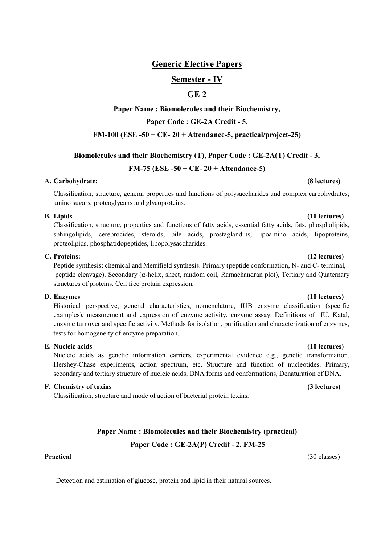## Generic Elective Papers

### Semester - IV

## GE<sub>2</sub>

### Paper Name : Biomolecules and their Biochemistry,

Paper Code : GE-2A Credit - 5,

#### FM-100 (ESE -50 + CE- 20 + Attendance-5, practical/project-25)

#### Biomolecules and their Biochemistry (T), Paper Code : GE-2A(T) Credit - 3,

#### FM-75 (ESE -50 + CE-  $20 +$  Attendance-5)

#### A. Carbohydrate: (8 lectures)

Classification, structure, general properties and functions of polysaccharides and complex carbohydrates; amino sugars, proteoglycans and glycoproteins.

Classification, structure, properties and functions of fatty acids, essential fatty acids, fats, phospholipids, sphingolipids, cerebrocides, steroids, bile acids, prostaglandins, lipoamino acids, lipoproteins, proteolipids, phosphatidopeptides, lipopolysaccharides.

#### C. Proteins: (12 lectures)

Peptide synthesis: chemical and Merrifield synthesis. Primary (peptide conformation, N- and C- terminal, peptide cleavage), Secondary (α-helix, sheet, random coil, Ramachandran plot), Tertiary and Quaternary structures of proteins. Cell free protain expression.

Historical perspective, general characteristics, nomenclature, IUB enzyme classification (specific examples), measurement and expression of enzyme activity, enzyme assay. Definitions of IU, Katal, enzyme turnover and specific activity. Methods for isolation, purification and characterization of enzymes, tests for homogeneity of enzyme preparation.

#### E. Nucleic acids (10 lectures)

Nucleic acids as genetic information carriers, experimental evidence e.g., genetic transformation, Hershey-Chase experiments, action spectrum, etc. Structure and function of nucleotides. Primary, secondary and tertiary structure of nucleic acids, DNA forms and conformations, Denaturation of DNA.

#### F. Chemistry of toxins (3) lectures) (3) lectures)

Classification, structure and mode of action of bacterial protein toxins.

#### Paper Name : Biomolecules and their Biochemistry (practical)

#### Paper Code : GE-2A(P) Credit - 2, FM-25

Detection and estimation of glucose, protein and lipid in their natural sources.

#### B. Lipids (10 lectures)

#### D. Enzymes (10 lectures) (10 lectures)

Practical (30 classes)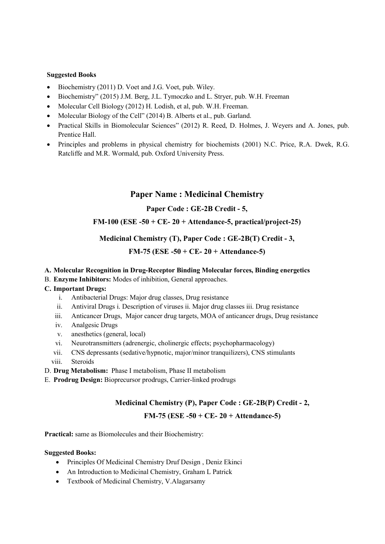#### Suggested Books

- Biochemistry (2011) D. Voet and J.G. Voet, pub. Wiley.
- Biochemistry" (2015) J.M. Berg, J.L. Tymoczko and L. Stryer, pub. W.H. Freeman
- Molecular Cell Biology (2012) H. Lodish, et al, pub. W.H. Freeman.
- Molecular Biology of the Cell" (2014) B. Alberts et al., pub. Garland.
- Practical Skills in Biomolecular Sciences" (2012) R. Reed, D. Holmes, J. Weyers and A. Jones, pub. Prentice Hall.
- Principles and problems in physical chemistry for biochemists (2001) N.C. Price, R.A. Dwek, R.G. Ratcliffe and M.R. Wormald, pub. Oxford University Press.

## Paper Name : Medicinal Chemistry

### Paper Code : GE-2B Credit - 5,

### FM-100 (ESE -50 + CE-  $20 +$  Attendance-5, practical/project-25)

### Medicinal Chemistry (T), Paper Code : GE-2B(T) Credit - 3,

### FM-75 (ESE -50 + CE- 20 + Attendance-5)

### A. Molecular Recognition in Drug-Receptor Binding Molecular forces, Binding energetics

B. Enzyme Inhibitors: Modes of inhibition, General approaches.

#### C. Important Drugs:

- i. Antibacterial Drugs: Major drug classes, Drug resistance
- ii. Antiviral Drugs i. Description of viruses ii. Major drug classes iii. Drug resistance
- iii. Anticancer Drugs, Major cancer drug targets, MOA of anticancer drugs, Drug resistance
- iv. Analgesic Drugs
- v. anesthetics (general, local)
- vi. Neurotransmitters (adrenergic, cholinergic effects; psychopharmacology)
- vii. CNS depressants (sedative/hypnotic, major/minor tranquilizers), CNS stimulants
- viii. Steroids

D. Drug Metabolism: Phase I metabolism, Phase II metabolism

E. Prodrug Design: Bioprecursor prodrugs, Carrier-linked prodrugs

### Medicinal Chemistry (P), Paper Code : GE-2B(P) Credit - 2,

### FM-75 (ESE -50 + CE-  $20 +$  Attendance-5)

Practical: same as Biomolecules and their Biochemistry:

- Principles Of Medicinal Chemistry Druf Design , Deniz Ekinci
- An Introduction to Medicinal Chemistry, Graham L Patrick
- Textbook of Medicinal Chemistry, V.Alagarsamy